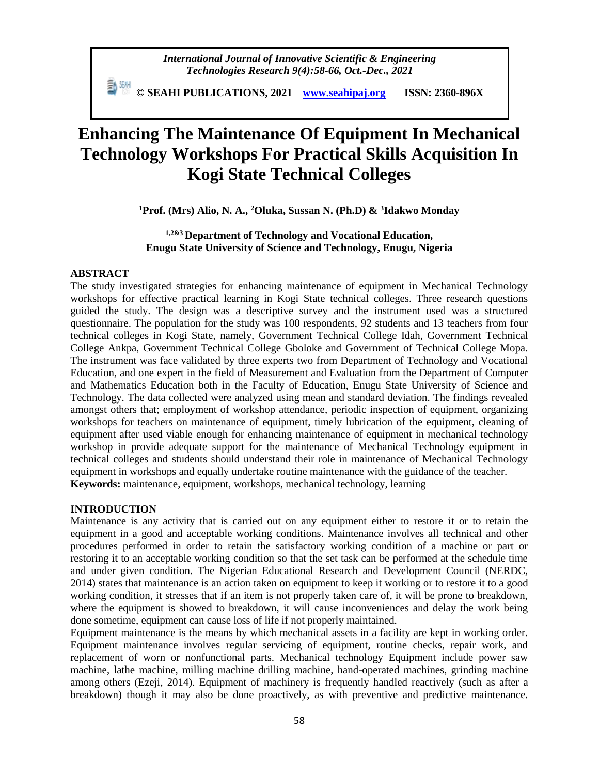**© SEAHI PUBLICATIONS, 2021 [www.seahipaj.org](http://www.seahipaj.org/) ISSN: 2360-896X**

# **Enhancing The Maintenance Of Equipment In Mechanical Technology Workshops For Practical Skills Acquisition In Kogi State Technical Colleges**

**<sup>1</sup>Prof. (Mrs) Alio, N. A., <sup>2</sup>Oluka, Sussan N. (Ph.D) & <sup>3</sup> Idakwo Monday**

# **1,2&3 Department of Technology and Vocational Education, Enugu State University of Science and Technology, Enugu, Nigeria**

# **ABSTRACT**

The study investigated strategies for enhancing maintenance of equipment in Mechanical Technology workshops for effective practical learning in Kogi State technical colleges. Three research questions guided the study. The design was a descriptive survey and the instrument used was a structured questionnaire. The population for the study was 100 respondents, 92 students and 13 teachers from four technical colleges in Kogi State, namely, Government Technical College Idah, Government Technical College Ankpa, Government Technical College Gboloke and Government of Technical College Mopa. The instrument was face validated by three experts two from Department of Technology and Vocational Education, and one expert in the field of Measurement and Evaluation from the Department of Computer and Mathematics Education both in the Faculty of Education, Enugu State University of Science and Technology. The data collected were analyzed using mean and standard deviation. The findings revealed amongst others that; employment of workshop attendance, periodic inspection of equipment, organizing workshops for teachers on maintenance of equipment, timely lubrication of the equipment, cleaning of equipment after used viable enough for enhancing maintenance of equipment in mechanical technology workshop in provide adequate support for the maintenance of Mechanical Technology equipment in technical colleges and students should understand their role in maintenance of Mechanical Technology equipment in workshops and equally undertake routine maintenance with the guidance of the teacher. **Keywords:** maintenance, equipment, workshops, mechanical technology, learning

# **INTRODUCTION**

Maintenance is any activity that is carried out on any equipment either to restore it or to retain the equipment in a good and acceptable working conditions. Maintenance involves all technical and other procedures performed in order to retain the satisfactory working condition of a machine or part or restoring it to an acceptable working condition so that the set task can be performed at the schedule time and under given condition. The Nigerian Educational Research and Development Council (NERDC, 2014) states that maintenance is an action taken on equipment to keep it working or to restore it to a good working condition, it stresses that if an item is not properly taken care of, it will be prone to breakdown, where the equipment is showed to breakdown, it will cause inconveniences and delay the work being done sometime, equipment can cause loss of life if not properly maintained.

Equipment maintenance is the means by which mechanical assets in a facility are kept in working order. Equipment maintenance involves regular servicing of equipment, routine checks, repair work, and replacement of worn or nonfunctional parts. Mechanical technology Equipment include power saw machine, lathe machine, milling machine drilling machine, hand-operated machines, grinding machine among others (Ezeji, 2014). Equipment of machinery is frequently handled reactively (such as after a breakdown) though it may also be done proactively, as with preventive and predictive maintenance.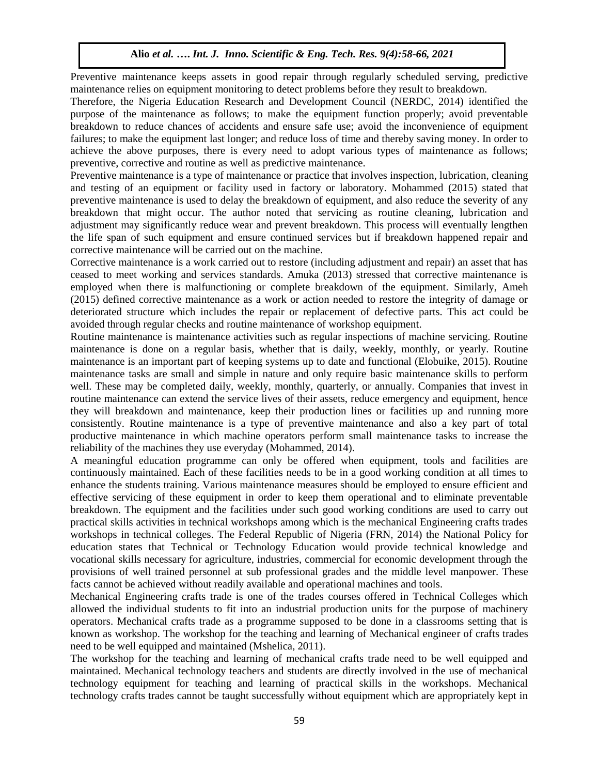Preventive maintenance keeps assets in good repair through regularly scheduled serving, predictive maintenance relies on equipment monitoring to detect problems before they result to breakdown.

Therefore, the Nigeria Education Research and Development Council (NERDC, 2014) identified the purpose of the maintenance as follows; to make the equipment function properly; avoid preventable breakdown to reduce chances of accidents and ensure safe use; avoid the inconvenience of equipment failures; to make the equipment last longer; and reduce loss of time and thereby saving money. In order to achieve the above purposes, there is every need to adopt various types of maintenance as follows; preventive, corrective and routine as well as predictive maintenance.

Preventive maintenance is a type of maintenance or practice that involves inspection, lubrication, cleaning and testing of an equipment or facility used in factory or laboratory. Mohammed (2015) stated that preventive maintenance is used to delay the breakdown of equipment, and also reduce the severity of any breakdown that might occur. The author noted that servicing as routine cleaning, lubrication and adjustment may significantly reduce wear and prevent breakdown. This process will eventually lengthen the life span of such equipment and ensure continued services but if breakdown happened repair and corrective maintenance will be carried out on the machine.

Corrective maintenance is a work carried out to restore (including adjustment and repair) an asset that has ceased to meet working and services standards. Amuka (2013) stressed that corrective maintenance is employed when there is malfunctioning or complete breakdown of the equipment. Similarly, Ameh (2015) defined corrective maintenance as a work or action needed to restore the integrity of damage or deteriorated structure which includes the repair or replacement of defective parts. This act could be avoided through regular checks and routine maintenance of workshop equipment.

Routine maintenance is maintenance activities such as regular inspections of machine servicing. Routine maintenance is done on a regular basis, whether that is daily, weekly, monthly, or yearly. Routine maintenance is an important part of keeping systems up to date and functional (Elobuike, 2015). Routine maintenance tasks are small and simple in nature and only require basic maintenance skills to perform well. These may be completed daily, weekly, monthly, quarterly, or annually. Companies that invest in routine maintenance can extend the service lives of their assets, reduce emergency and equipment, hence they will breakdown and maintenance, keep their production lines or facilities up and running more consistently. Routine maintenance is a type of preventive maintenance and also a key part of total productive maintenance in which machine operators perform small maintenance tasks to increase the reliability of the machines they use everyday (Mohammed, 2014).

A meaningful education programme can only be offered when equipment, tools and facilities are continuously maintained. Each of these facilities needs to be in a good working condition at all times to enhance the students training. Various maintenance measures should be employed to ensure efficient and effective servicing of these equipment in order to keep them operational and to eliminate preventable breakdown. The equipment and the facilities under such good working conditions are used to carry out practical skills activities in technical workshops among which is the mechanical Engineering crafts trades workshops in technical colleges. The Federal Republic of Nigeria (FRN, 2014) the National Policy for education states that Technical or Technology Education would provide technical knowledge and vocational skills necessary for agriculture, industries, commercial for economic development through the provisions of well trained personnel at sub professional grades and the middle level manpower. These facts cannot be achieved without readily available and operational machines and tools.

Mechanical Engineering crafts trade is one of the trades courses offered in Technical Colleges which allowed the individual students to fit into an industrial production units for the purpose of machinery operators. Mechanical crafts trade as a programme supposed to be done in a classrooms setting that is known as workshop. The workshop for the teaching and learning of Mechanical engineer of crafts trades need to be well equipped and maintained (Mshelica, 2011).

The workshop for the teaching and learning of mechanical crafts trade need to be well equipped and maintained. Mechanical technology teachers and students are directly involved in the use of mechanical technology equipment for teaching and learning of practical skills in the workshops. Mechanical technology crafts trades cannot be taught successfully without equipment which are appropriately kept in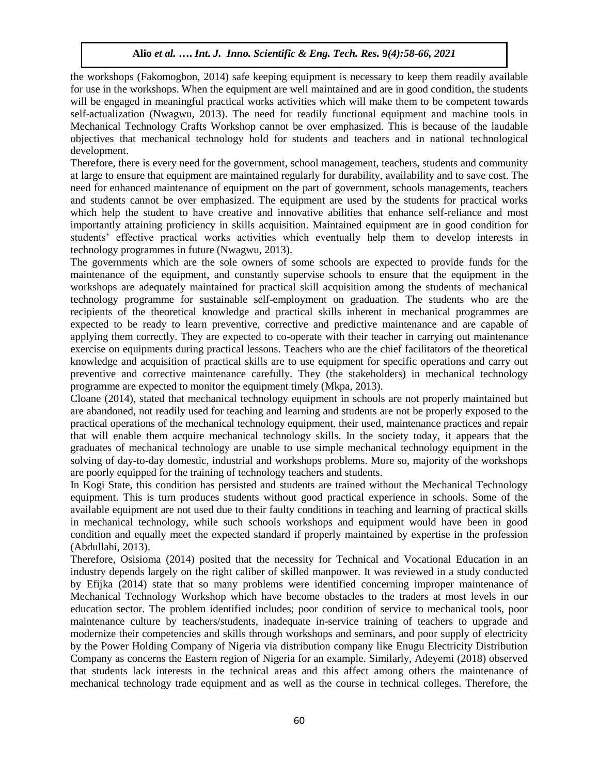the workshops (Fakomogbon, 2014) safe keeping equipment is necessary to keep them readily available for use in the workshops. When the equipment are well maintained and are in good condition, the students will be engaged in meaningful practical works activities which will make them to be competent towards self-actualization (Nwagwu, 2013). The need for readily functional equipment and machine tools in Mechanical Technology Crafts Workshop cannot be over emphasized. This is because of the laudable objectives that mechanical technology hold for students and teachers and in national technological development.

Therefore, there is every need for the government, school management, teachers, students and community at large to ensure that equipment are maintained regularly for durability, availability and to save cost. The need for enhanced maintenance of equipment on the part of government, schools managements, teachers and students cannot be over emphasized. The equipment are used by the students for practical works which help the student to have creative and innovative abilities that enhance self-reliance and most importantly attaining proficiency in skills acquisition. Maintained equipment are in good condition for students' effective practical works activities which eventually help them to develop interests in technology programmes in future (Nwagwu, 2013).

The governments which are the sole owners of some schools are expected to provide funds for the maintenance of the equipment, and constantly supervise schools to ensure that the equipment in the workshops are adequately maintained for practical skill acquisition among the students of mechanical technology programme for sustainable self-employment on graduation. The students who are the recipients of the theoretical knowledge and practical skills inherent in mechanical programmes are expected to be ready to learn preventive, corrective and predictive maintenance and are capable of applying them correctly. They are expected to co-operate with their teacher in carrying out maintenance exercise on equipments during practical lessons. Teachers who are the chief facilitators of the theoretical knowledge and acquisition of practical skills are to use equipment for specific operations and carry out preventive and corrective maintenance carefully. They (the stakeholders) in mechanical technology programme are expected to monitor the equipment timely (Mkpa, 2013).

Cloane (2014), stated that mechanical technology equipment in schools are not properly maintained but are abandoned, not readily used for teaching and learning and students are not be properly exposed to the practical operations of the mechanical technology equipment, their used, maintenance practices and repair that will enable them acquire mechanical technology skills. In the society today, it appears that the graduates of mechanical technology are unable to use simple mechanical technology equipment in the solving of day-to-day domestic, industrial and workshops problems. More so, majority of the workshops are poorly equipped for the training of technology teachers and students.

In Kogi State, this condition has persisted and students are trained without the Mechanical Technology equipment. This is turn produces students without good practical experience in schools. Some of the available equipment are not used due to their faulty conditions in teaching and learning of practical skills in mechanical technology, while such schools workshops and equipment would have been in good condition and equally meet the expected standard if properly maintained by expertise in the profession (Abdullahi, 2013).

Therefore, Osisioma (2014) posited that the necessity for Technical and Vocational Education in an industry depends largely on the right caliber of skilled manpower. It was reviewed in a study conducted by Efijka (2014) state that so many problems were identified concerning improper maintenance of Mechanical Technology Workshop which have become obstacles to the traders at most levels in our education sector. The problem identified includes; poor condition of service to mechanical tools, poor maintenance culture by teachers/students, inadequate in-service training of teachers to upgrade and modernize their competencies and skills through workshops and seminars, and poor supply of electricity by the Power Holding Company of Nigeria via distribution company like Enugu Electricity Distribution Company as concerns the Eastern region of Nigeria for an example. Similarly, Adeyemi (2018) observed that students lack interests in the technical areas and this affect among others the maintenance of mechanical technology trade equipment and as well as the course in technical colleges. Therefore, the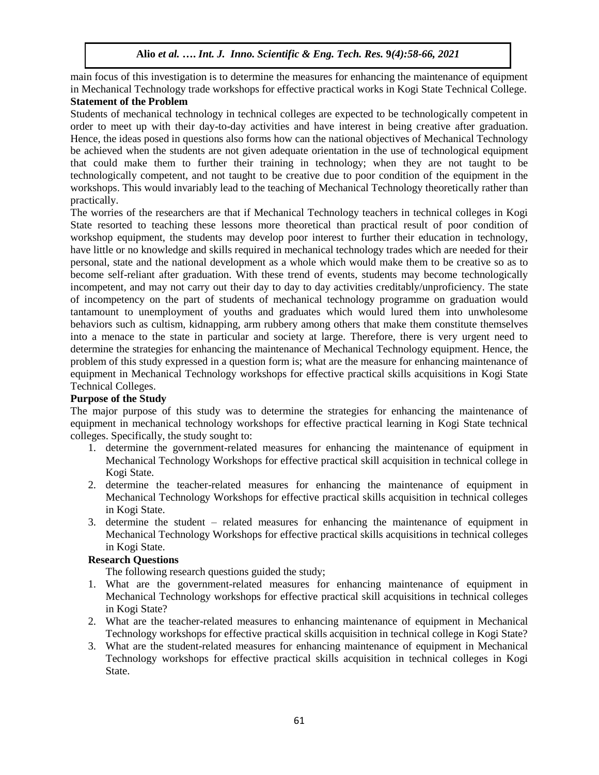main focus of this investigation is to determine the measures for enhancing the maintenance of equipment in Mechanical Technology trade workshops for effective practical works in Kogi State Technical College. **Statement of the Problem** 

Students of mechanical technology in technical colleges are expected to be technologically competent in order to meet up with their day-to-day activities and have interest in being creative after graduation. Hence, the ideas posed in questions also forms how can the national objectives of Mechanical Technology be achieved when the students are not given adequate orientation in the use of technological equipment that could make them to further their training in technology; when they are not taught to be technologically competent, and not taught to be creative due to poor condition of the equipment in the workshops. This would invariably lead to the teaching of Mechanical Technology theoretically rather than practically.

The worries of the researchers are that if Mechanical Technology teachers in technical colleges in Kogi State resorted to teaching these lessons more theoretical than practical result of poor condition of workshop equipment, the students may develop poor interest to further their education in technology, have little or no knowledge and skills required in mechanical technology trades which are needed for their personal, state and the national development as a whole which would make them to be creative so as to become self-reliant after graduation. With these trend of events, students may become technologically incompetent, and may not carry out their day to day to day activities creditably/unproficiency. The state of incompetency on the part of students of mechanical technology programme on graduation would tantamount to unemployment of youths and graduates which would lured them into unwholesome behaviors such as cultism, kidnapping, arm rubbery among others that make them constitute themselves into a menace to the state in particular and society at large. Therefore, there is very urgent need to determine the strategies for enhancing the maintenance of Mechanical Technology equipment. Hence, the problem of this study expressed in a question form is; what are the measure for enhancing maintenance of equipment in Mechanical Technology workshops for effective practical skills acquisitions in Kogi State Technical Colleges.

# **Purpose of the Study**

The major purpose of this study was to determine the strategies for enhancing the maintenance of equipment in mechanical technology workshops for effective practical learning in Kogi State technical colleges. Specifically, the study sought to:

- 1. determine the government-related measures for enhancing the maintenance of equipment in Mechanical Technology Workshops for effective practical skill acquisition in technical college in Kogi State.
- 2. determine the teacher-related measures for enhancing the maintenance of equipment in Mechanical Technology Workshops for effective practical skills acquisition in technical colleges in Kogi State.
- 3. determine the student related measures for enhancing the maintenance of equipment in Mechanical Technology Workshops for effective practical skills acquisitions in technical colleges in Kogi State.

# **Research Questions**

The following research questions guided the study;

- 1. What are the government-related measures for enhancing maintenance of equipment in Mechanical Technology workshops for effective practical skill acquisitions in technical colleges in Kogi State?
- 2. What are the teacher-related measures to enhancing maintenance of equipment in Mechanical Technology workshops for effective practical skills acquisition in technical college in Kogi State?
- 3. What are the student-related measures for enhancing maintenance of equipment in Mechanical Technology workshops for effective practical skills acquisition in technical colleges in Kogi State.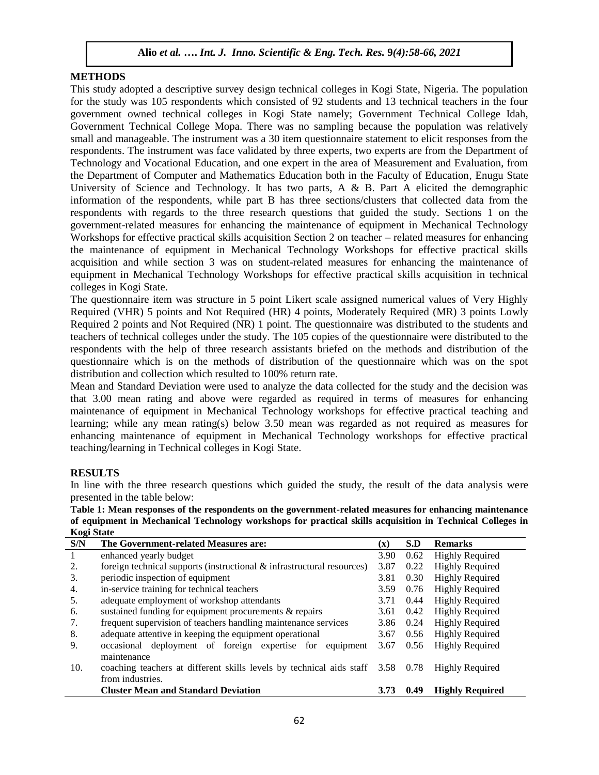## **METHODS**

This study adopted a descriptive survey design technical colleges in Kogi State, Nigeria. The population for the study was 105 respondents which consisted of 92 students and 13 technical teachers in the four government owned technical colleges in Kogi State namely; Government Technical College Idah, Government Technical College Mopa. There was no sampling because the population was relatively small and manageable. The instrument was a 30 item questionnaire statement to elicit responses from the respondents. The instrument was face validated by three experts, two experts are from the Department of Technology and Vocational Education, and one expert in the area of Measurement and Evaluation, from the Department of Computer and Mathematics Education both in the Faculty of Education, Enugu State University of Science and Technology. It has two parts, A & B. Part A elicited the demographic information of the respondents, while part B has three sections/clusters that collected data from the respondents with regards to the three research questions that guided the study. Sections 1 on the government-related measures for enhancing the maintenance of equipment in Mechanical Technology Workshops for effective practical skills acquisition Section 2 on teacher – related measures for enhancing the maintenance of equipment in Mechanical Technology Workshops for effective practical skills acquisition and while section 3 was on student-related measures for enhancing the maintenance of equipment in Mechanical Technology Workshops for effective practical skills acquisition in technical colleges in Kogi State.

The questionnaire item was structure in 5 point Likert scale assigned numerical values of Very Highly Required (VHR) 5 points and Not Required (HR) 4 points, Moderately Required (MR) 3 points Lowly Required 2 points and Not Required (NR) 1 point. The questionnaire was distributed to the students and teachers of technical colleges under the study. The 105 copies of the questionnaire were distributed to the respondents with the help of three research assistants briefed on the methods and distribution of the questionnaire which is on the methods of distribution of the questionnaire which was on the spot distribution and collection which resulted to 100% return rate.

Mean and Standard Deviation were used to analyze the data collected for the study and the decision was that 3.00 mean rating and above were regarded as required in terms of measures for enhancing maintenance of equipment in Mechanical Technology workshops for effective practical teaching and learning; while any mean rating(s) below 3.50 mean was regarded as not required as measures for enhancing maintenance of equipment in Mechanical Technology workshops for effective practical teaching/learning in Technical colleges in Kogi State.

## **RESULTS**

In line with the three research questions which guided the study, the result of the data analysis were presented in the table below:

**Table 1: Mean responses of the respondents on the government-related measures for enhancing maintenance of equipment in Mechanical Technology workshops for practical skills acquisition in Technical Colleges in Kogi State**

| S/N | The Government-related Measures are:                                                          | $(\mathbf{x})$ | S.D  | <b>Remarks</b>         |
|-----|-----------------------------------------------------------------------------------------------|----------------|------|------------------------|
| 1   | enhanced yearly budget                                                                        | 3.90           | 0.62 | <b>Highly Required</b> |
| 2.  | foreign technical supports (instructional $\&$ infrastructural resources)                     | 3.87           | 0.22 | <b>Highly Required</b> |
| 3.  | periodic inspection of equipment                                                              | 3.81           | 0.30 | <b>Highly Required</b> |
| 4.  | in-service training for technical teachers                                                    | 3.59           | 0.76 | <b>Highly Required</b> |
| 5.  | adequate employment of workshop attendants                                                    | 3.71           | 0.44 | <b>Highly Required</b> |
| 6.  | sustained funding for equipment procurements & repairs                                        | 3.61           | 0.42 | <b>Highly Required</b> |
| 7.  | frequent supervision of teachers handling maintenance services                                | 3.86           | 0.24 | <b>Highly Required</b> |
| 8.  | adequate attentive in keeping the equipment operational                                       | 3.67           | 0.56 | <b>Highly Required</b> |
| 9.  | occasional deployment of foreign expertise for<br>equipment<br>maintenance                    | 3.67           | 0.56 | <b>Highly Required</b> |
| 10. | coaching teachers at different skills levels by technical aids staff 3.58<br>from industries. |                | 0.78 | <b>Highly Required</b> |
|     | <b>Cluster Mean and Standard Deviation</b>                                                    | 3.73           | 0.49 | <b>Highly Required</b> |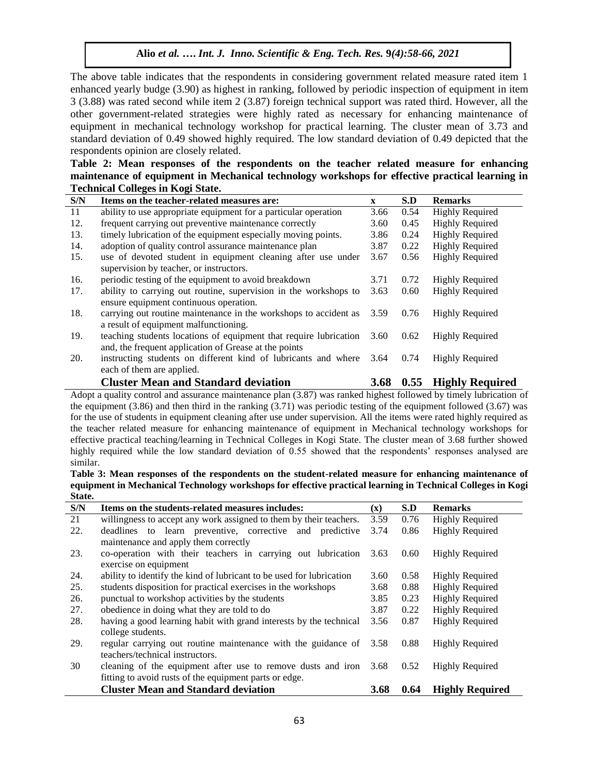The above table indicates that the respondents in considering government related measure rated item 1 enhanced yearly budge (3.90) as highest in ranking, followed by periodic inspection of equipment in item 3 (3.88) was rated second while item 2 (3.87) foreign technical support was rated third. However, all the other government-related strategies were highly rated as necessary for enhancing maintenance of equipment in mechanical technology workshop for practical learning. The cluster mean of 3.73 and standard deviation of 0.49 showed highly required. The low standard deviation of 0.49 depicted that the respondents opinion are closely related.

**Table 2: Mean responses of the respondents on the teacher related measure for enhancing maintenance of equipment in Mechanical technology workshops for effective practical learning in Technical Colleges in Kogi State.** 

| S/N | Items on the teacher-related measures are:                                                                                 | $\mathbf{x}$ | S.D  | <b>Remarks</b>         |
|-----|----------------------------------------------------------------------------------------------------------------------------|--------------|------|------------------------|
| 11  | ability to use appropriate equipment for a particular operation                                                            | 3.66         | 0.54 | <b>Highly Required</b> |
| 12. | frequent carrying out preventive maintenance correctly                                                                     | 3.60         | 0.45 | <b>Highly Required</b> |
| 13. | timely lubrication of the equipment especially moving points.                                                              | 3.86         | 0.24 | <b>Highly Required</b> |
| 14. | adoption of quality control assurance maintenance plan                                                                     | 3.87         | 0.22 | <b>Highly Required</b> |
| 15. | use of devoted student in equipment cleaning after use under<br>supervision by teacher, or instructors.                    | 3.67         | 0.56 | <b>Highly Required</b> |
| 16. | periodic testing of the equipment to avoid breakdown                                                                       | 3.71         | 0.72 | <b>Highly Required</b> |
| 17. | ability to carrying out routine, supervision in the workshops to<br>ensure equipment continuous operation.                 | 3.63         | 0.60 | <b>Highly Required</b> |
| 18. | carrying out routine maintenance in the workshops to accident as<br>a result of equipment malfunctioning.                  | 3.59         | 0.76 | <b>Highly Required</b> |
| 19. | teaching students locations of equipment that require lubrication<br>and, the frequent application of Grease at the points | 3.60         | 0.62 | <b>Highly Required</b> |
| 20. | instructing students on different kind of lubricants and where<br>each of them are applied.                                | 3.64         | 0.74 | <b>Highly Required</b> |
|     | <b>Cluster Mean and Standard deviation</b>                                                                                 | <b>3.68</b>  | 0.55 | <b>Highly Required</b> |

Adopt a quality control and assurance maintenance plan (3.87) was ranked highest followed by timely lubrication of the equipment (3.86) and then third in the ranking (3.71) was periodic testing of the equipment followed (3.67) was for the use of students in equipment cleaning after use under supervision. All the items were rated highly required as the teacher related measure for enhancing maintenance of equipment in Mechanical technology workshops for effective practical teaching/learning in Technical Colleges in Kogi State. The cluster mean of 3.68 further showed highly required while the low standard deviation of 0.55 showed that the respondents' responses analysed are similar.

**Table 3: Mean responses of the respondents on the student-related measure for enhancing maintenance of equipment in Mechanical Technology workshops for effective practical learning in Technical Colleges in Kogi State.**

| S/N | Items on the students-related measures includes:                     | $(\mathbf{x})$ | S.D  | <b>Remarks</b>         |
|-----|----------------------------------------------------------------------|----------------|------|------------------------|
| 21  | willingness to accept any work assigned to them by their teachers.   | 3.59           | 0.76 | <b>Highly Required</b> |
| 22. | to learn preventive, corrective and predictive<br>deadlines          | 3.74           | 0.86 | <b>Highly Required</b> |
|     | maintenance and apply them correctly                                 |                |      |                        |
| 23. | co-operation with their teachers in carrying out lubrication         | 3.63           | 0.60 | Highly Required        |
|     | exercise on equipment                                                |                |      |                        |
| 24. | ability to identify the kind of lubricant to be used for lubrication | 3.60           | 0.58 | Highly Required        |
| 25. | students disposition for practical exercises in the workshops        | 3.68           | 0.88 | <b>Highly Required</b> |
| 26. | punctual to workshop activities by the students                      | 3.85           | 0.23 | <b>Highly Required</b> |
| 27. | obedience in doing what they are told to do                          | 3.87           | 0.22 | <b>Highly Required</b> |
| 28. | having a good learning habit with grand interests by the technical   | 3.56           | 0.87 | <b>Highly Required</b> |
|     | college students.                                                    |                |      |                        |
| 29. | regular carrying out routine maintenance with the guidance of 3.58   |                | 0.88 | <b>Highly Required</b> |
|     | teachers/technical instructors.                                      |                |      |                        |
| 30  | cleaning of the equipment after use to remove dusts and iron         | 3.68           | 0.52 | Highly Required        |
|     | fitting to avoid rusts of the equipment parts or edge.               |                |      |                        |
|     | <b>Cluster Mean and Standard deviation</b>                           | 3.68           | 0.64 | <b>Highly Required</b> |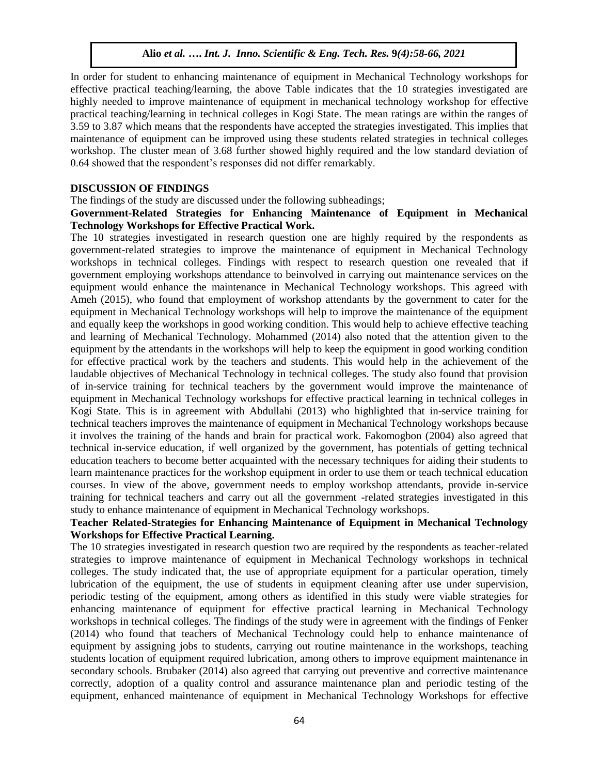In order for student to enhancing maintenance of equipment in Mechanical Technology workshops for effective practical teaching/learning, the above Table indicates that the 10 strategies investigated are highly needed to improve maintenance of equipment in mechanical technology workshop for effective practical teaching/learning in technical colleges in Kogi State. The mean ratings are within the ranges of 3.59 to 3.87 which means that the respondents have accepted the strategies investigated. This implies that maintenance of equipment can be improved using these students related strategies in technical colleges workshop. The cluster mean of 3.68 further showed highly required and the low standard deviation of 0.64 showed that the respondent's responses did not differ remarkably.

#### **DISCUSSION OF FINDINGS**

The findings of the study are discussed under the following subheadings;

#### **Government-Related Strategies for Enhancing Maintenance of Equipment in Mechanical Technology Workshops for Effective Practical Work.**

The 10 strategies investigated in research question one are highly required by the respondents as government-related strategies to improve the maintenance of equipment in Mechanical Technology workshops in technical colleges. Findings with respect to research question one revealed that if government employing workshops attendance to beinvolved in carrying out maintenance services on the equipment would enhance the maintenance in Mechanical Technology workshops. This agreed with Ameh (2015), who found that employment of workshop attendants by the government to cater for the equipment in Mechanical Technology workshops will help to improve the maintenance of the equipment and equally keep the workshops in good working condition. This would help to achieve effective teaching and learning of Mechanical Technology. Mohammed (2014) also noted that the attention given to the equipment by the attendants in the workshops will help to keep the equipment in good working condition for effective practical work by the teachers and students. This would help in the achievement of the laudable objectives of Mechanical Technology in technical colleges. The study also found that provision of in-service training for technical teachers by the government would improve the maintenance of equipment in Mechanical Technology workshops for effective practical learning in technical colleges in Kogi State. This is in agreement with Abdullahi (2013) who highlighted that in-service training for technical teachers improves the maintenance of equipment in Mechanical Technology workshops because it involves the training of the hands and brain for practical work. Fakomogbon (2004) also agreed that technical in-service education, if well organized by the government, has potentials of getting technical education teachers to become better acquainted with the necessary techniques for aiding their students to learn maintenance practices for the workshop equipment in order to use them or teach technical education courses. In view of the above, government needs to employ workshop attendants, provide in-service training for technical teachers and carry out all the government -related strategies investigated in this study to enhance maintenance of equipment in Mechanical Technology workshops.

# **Teacher Related-Strategies for Enhancing Maintenance of Equipment in Mechanical Technology Workshops for Effective Practical Learning.**

The 10 strategies investigated in research question two are required by the respondents as teacher-related strategies to improve maintenance of equipment in Mechanical Technology workshops in technical colleges. The study indicated that, the use of appropriate equipment for a particular operation, timely lubrication of the equipment, the use of students in equipment cleaning after use under supervision, periodic testing of the equipment, among others as identified in this study were viable strategies for enhancing maintenance of equipment for effective practical learning in Mechanical Technology workshops in technical colleges. The findings of the study were in agreement with the findings of Fenker (2014) who found that teachers of Mechanical Technology could help to enhance maintenance of equipment by assigning jobs to students, carrying out routine maintenance in the workshops, teaching students location of equipment required lubrication, among others to improve equipment maintenance in secondary schools. Brubaker (2014) also agreed that carrying out preventive and corrective maintenance correctly, adoption of a quality control and assurance maintenance plan and periodic testing of the equipment, enhanced maintenance of equipment in Mechanical Technology Workshops for effective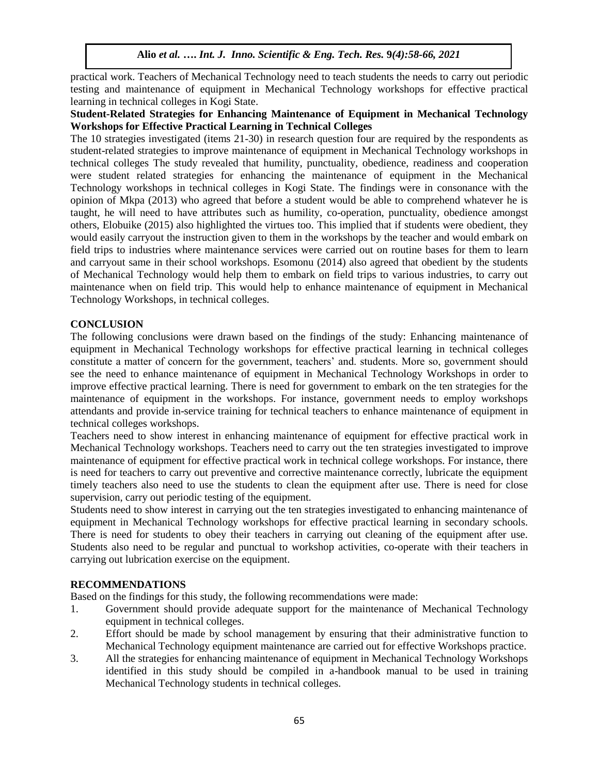practical work. Teachers of Mechanical Technology need to teach students the needs to carry out periodic testing and maintenance of equipment in Mechanical Technology workshops for effective practical learning in technical colleges in Kogi State.

# **Student-Related Strategies for Enhancing Maintenance of Equipment in Mechanical Technology Workshops for Effective Practical Learning in Technical Colleges**

The 10 strategies investigated (items 21-30) in research question four are required by the respondents as student-related strategies to improve maintenance of equipment in Mechanical Technology workshops in technical colleges The study revealed that humility, punctuality, obedience, readiness and cooperation were student related strategies for enhancing the maintenance of equipment in the Mechanical Technology workshops in technical colleges in Kogi State. The findings were in consonance with the opinion of Mkpa (2013) who agreed that before a student would be able to comprehend whatever he is taught, he will need to have attributes such as humility, co-operation, punctuality, obedience amongst others, Elobuike (2015) also highlighted the virtues too. This implied that if students were obedient, they would easily carryout the instruction given to them in the workshops by the teacher and would embark on field trips to industries where maintenance services were carried out on routine bases for them to learn and carryout same in their school workshops. Esomonu (2014) also agreed that obedient by the students of Mechanical Technology would help them to embark on field trips to various industries, to carry out maintenance when on field trip. This would help to enhance maintenance of equipment in Mechanical Technology Workshops, in technical colleges.

# **CONCLUSION**

The following conclusions were drawn based on the findings of the study: Enhancing maintenance of equipment in Mechanical Technology workshops for effective practical learning in technical colleges constitute a matter of concern for the government, teachers' and. students. More so, government should see the need to enhance maintenance of equipment in Mechanical Technology Workshops in order to improve effective practical learning. There is need for government to embark on the ten strategies for the maintenance of equipment in the workshops. For instance, government needs to employ workshops attendants and provide in-service training for technical teachers to enhance maintenance of equipment in technical colleges workshops.

Teachers need to show interest in enhancing maintenance of equipment for effective practical work in Mechanical Technology workshops. Teachers need to carry out the ten strategies investigated to improve maintenance of equipment for effective practical work in technical college workshops. For instance, there is need for teachers to carry out preventive and corrective maintenance correctly, lubricate the equipment timely teachers also need to use the students to clean the equipment after use. There is need for close supervision, carry out periodic testing of the equipment.

Students need to show interest in carrying out the ten strategies investigated to enhancing maintenance of equipment in Mechanical Technology workshops for effective practical learning in secondary schools. There is need for students to obey their teachers in carrying out cleaning of the equipment after use. Students also need to be regular and punctual to workshop activities, co-operate with their teachers in carrying out lubrication exercise on the equipment.

## **RECOMMENDATIONS**

Based on the findings for this study, the following recommendations were made:

- 1. Government should provide adequate support for the maintenance of Mechanical Technology equipment in technical colleges.
- 2. Effort should be made by school management by ensuring that their administrative function to Mechanical Technology equipment maintenance are carried out for effective Workshops practice.
- 3. All the strategies for enhancing maintenance of equipment in Mechanical Technology Workshops identified in this study should be compiled in a-handbook manual to be used in training Mechanical Technology students in technical colleges.